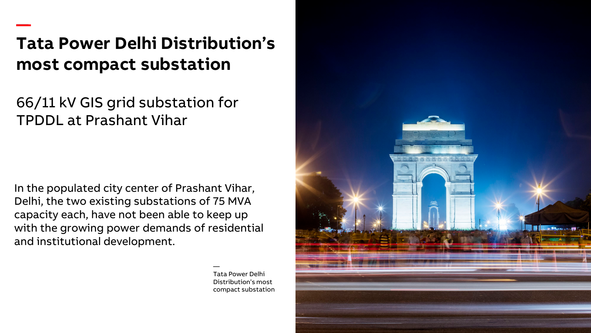# **Tata Power Delhi Distribution's most compact substation**

66/11 kV GIS grid substation for TPDDL at Prashant Vihar

—

In the populated city center of Prashant Vihar, Delhi, the two existing substations of 75 MVA capacity each, have not been able to keep up with the growing power demands of residential and institutional development.

> — Tata Power Delhi Distribution's most compact substation